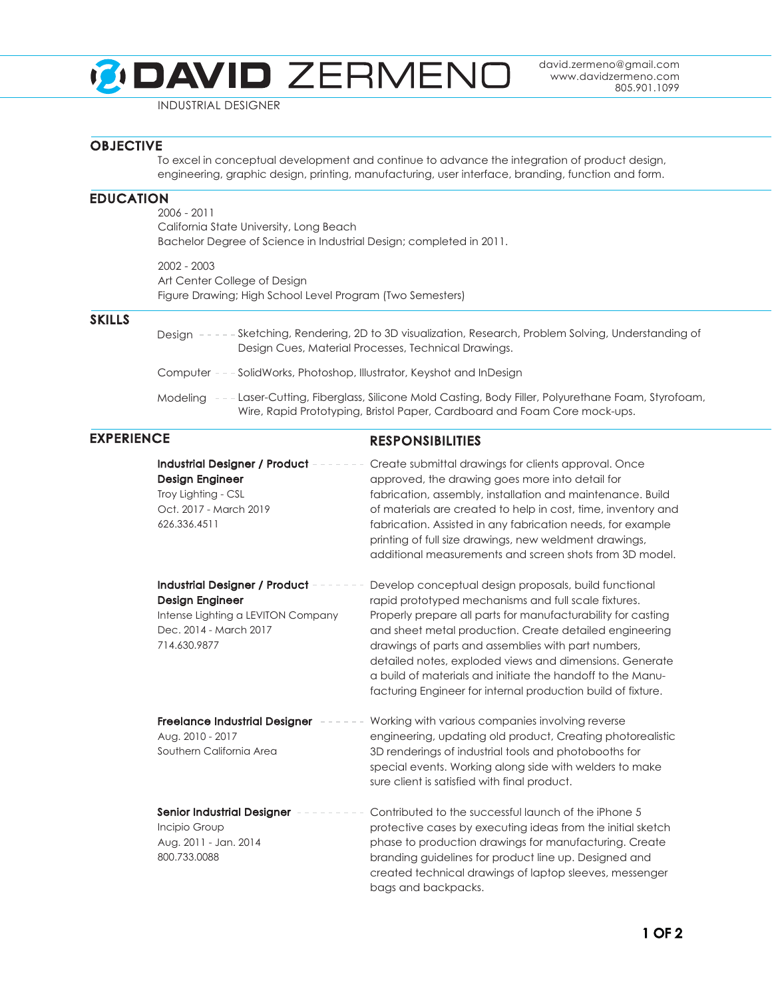## **DAVID ZERMENO**

david.zermeno@gmail.com www.davidzermeno.com 805.901.1099

INDUSTRIAL DESIGNER

## **OBJECTIVE**

To excel in conceptual development and continue to advance the integration of product design, engineering, graphic design, printing, manufacturing, user interface, branding, function and form.

## EDUCATION

2006 - 2011 California State University, Long Beach Bachelor Degree of Science in Industrial Design; completed in 2011.

2002 - 2003 Art Center College of Design Figure Drawing; High School Level Program (Two Semesters)

## SKILLS

- Design Sketching, Rendering, 2D to 3D visualization, Research, Problem Solving, Understanding of Design Cues, Material Processes, Technical Drawings.
- Computer SolidWorks, Photoshop, Illustrator, Keyshot and InDesign
- Modeling Laser-Cutting, Fiberglass, Silicone Mold Casting, Body Filler, Polyurethane Foam, Styrofoam, Wire, Rapid Prototyping, Bristol Paper, Cardboard and Foam Core mock-ups.

## EXPERIENCE RESPONSIBILITIES

| <b>Industrial Designer / Product</b><br><b>Design Engineer</b><br>Troy Lighting - CSL<br>Oct. 2017 - March 2019<br>626.336.4511    | Create submittal drawings for clients approval. Once<br>approved, the drawing goes more into detail for<br>fabrication, assembly, installation and maintenance. Build<br>of materials are created to help in cost, time, inventory and<br>fabrication. Assisted in any fabrication needs, for example<br>printing of full size drawings, new weldment drawings,<br>additional measurements and screen shots from 3D model.                                                               |
|------------------------------------------------------------------------------------------------------------------------------------|------------------------------------------------------------------------------------------------------------------------------------------------------------------------------------------------------------------------------------------------------------------------------------------------------------------------------------------------------------------------------------------------------------------------------------------------------------------------------------------|
| Industrial Designer / Product -<br>Design Engineer<br>Intense Lighting a LEVITON Company<br>Dec. 2014 - March 2017<br>714.630.9877 | Develop conceptual design proposals, build functional<br>rapid prototyped mechanisms and full scale fixtures.<br>Properly prepare all parts for manufacturability for casting<br>and sheet metal production. Create detailed engineering<br>drawings of parts and assemblies with part numbers,<br>detailed notes, exploded views and dimensions. Generate<br>a build of materials and initiate the handoff to the Manu-<br>facturing Engineer for internal production build of fixture. |
| <b>Freelance Industrial Designer</b><br>Aug. 2010 - 2017<br>Southern California Area                                               | Working with various companies involving reverse<br>engineering, updating old product, Creating photorealistic<br>3D renderings of industrial tools and photobooths for<br>special events. Working along side with welders to make<br>sure client is satisfied with final product.                                                                                                                                                                                                       |
| <b>Senior Industrial Designer</b><br>Incipio Group<br>Aug. 2011 - Jan. 2014<br>800.733.0088                                        | Contributed to the successful launch of the iPhone 5<br>protective cases by executing ideas from the initial sketch<br>phase to production drawings for manufacturing. Create<br>branding guidelines for product line up. Designed and<br>created technical drawings of laptop sleeves, messenger<br>bags and backpacks.                                                                                                                                                                 |